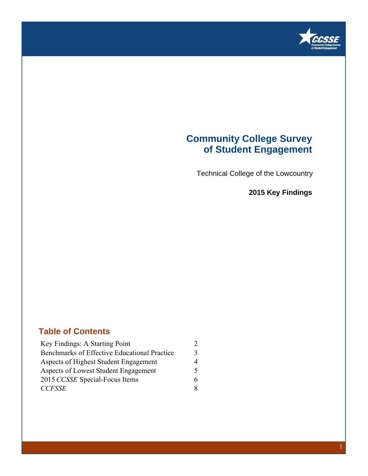

### **Community College Survey of Student Engagement**

Technical College of the Lowcountry

**2015 Key Findings**

### **Table of Contents**

| Key Findings: A Starting Point               |   |  |
|----------------------------------------------|---|--|
| Benchmarks of Effective Educational Practice | 3 |  |
| Aspects of Highest Student Engagement        | 4 |  |
| Aspects of Lowest Student Engagement         | 5 |  |
| 2015 CCSSE Special-Focus Items               |   |  |
| <b>CCFSSE</b>                                | 8 |  |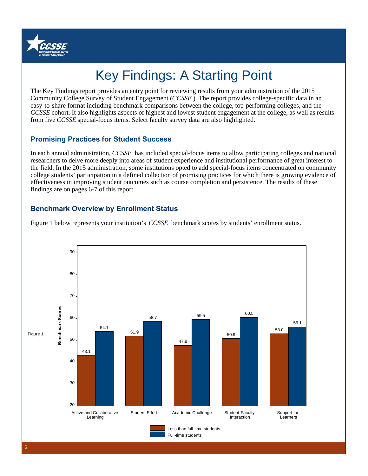

# Key Findings: A Starting Point

The Key Findings report provides an entry point for reviewing results from your administration of the 2015 Community College Survey of Student Engagement (*CCSSE* ). The report provides college-specific data in an easy-to-share format including benchmark comparisons between the college, top-performing colleges, and the *CCSSE* cohort. It also highlights aspects of highest and lowest student engagement at the college, as well as results from five *CCSSE* special-focus items. Select faculty survey data are also highlighted.

### **Promising Practices for Student Success**

In each annual administration, *CCSSE* has included special-focus items to allow participating colleges and national researchers to delve more deeply into areas of student experience and institutional performance of great interest to the field. In the 2015 administration, some institutions opted to add special-focus items concentrated on community college students' participation in a defined collection of promising practices for which there is growing evidence of effectiveness in improving student outcomes such as course completion and persistence. The results of these findings are on pages 6-7 of this report.

### **Benchmark Overview by Enrollment Status**



Figure 1 below represents your institution's *CCSSE* benchmark scores by students' enrollment status.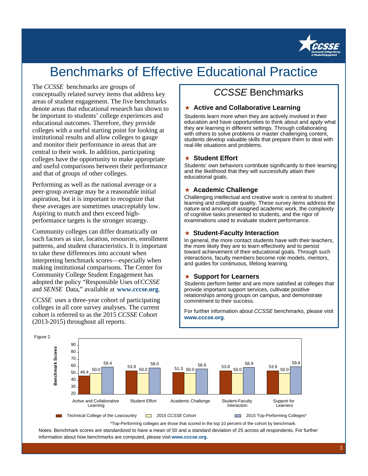

## Benchmarks of Effective Educational Practice

#### The *CCSSE* benchmarks are groups of

conceptually related survey items that address key areas of student engagement. The five benchmarks denote areas that educational research has shown to be important to students' college experiences and educational outcomes. Therefore, they provide colleges with a useful starting point for looking at institutional results and allow colleges to gauge and monitor their performance in areas that are central to their work. In addition, participating colleges have the opportunity to make appropriate and useful comparisons between their performance and that of groups of other colleges.

Performing as well as the national average or a peer-group average may be a reasonable initial aspiration, but it is important to recognize that these averages are sometimes unacceptably low. Aspiring to match and then exceed highperformance targets is the stronger strategy.

Community colleges can differ dramatically on such factors as size, location, resources, enrollment patterns, and student characteristics. It is important to take these differences into account when interpreting benchmark scores—especially when making institutional comparisons. The Center for Community College Student Engagement has adopted the policy "Responsible Uses of *CCSSE* and *SENSE* Data," available at **www.cccse.org**.

*CCSSE* uses a three-year cohort of participating colleges in all core survey analyses. The current cohort is referred to as the 2015 *CCSSE* Cohort (2013-2015) throughout all reports.

### CCSSE Benchmarks

#### ★ **Active and Collaborative Learning**

Students learn more when they are actively involved in their education and have opportunities to think about and apply what they are learning in different settings. Through collaborating with others to solve problems or master challenging content, students develop valuable skills that prepare them to deal with real-life situations and problems.

#### ★ **Student Effort**

Students' own behaviors contribute significantly to their learning and the likelihood that they will successfully attain their educational goals.

#### ★ **Academic Challenge**

Challenging intellectual and creative work is central to student learning and collegiate quality. These survey items address the nature and amount of assigned academic work, the complexity of cognitive tasks presented to students, and the rigor of examinations used to evaluate student performance.

#### ★ **Student-Faculty Interaction**

In general, the more contact students have with their teachers, the more likely they are to learn effectively and to persist toward achievement of their educational goals. Through such interactions, faculty members become role models, mentors, and guides for continuous, lifelong learning.

#### ★ **Support for Learners**

Students perform better and are more satisfied at colleges that provide important support services, cultivate positive relationships among groups on campus, and demonstrate commitment to their success.

For further information about CCSSE benchmarks, please visit **www.cccse.org**.



\*Top-Performing colleges are those that scored in the top 10 percent of the cohort by benchmark. Notes: Benchmark scores are standardized to have a mean of 50 and a standard deviation of 25 across all respondents. For further information about how benchmarks are computed, please visit **www.cccse.org**.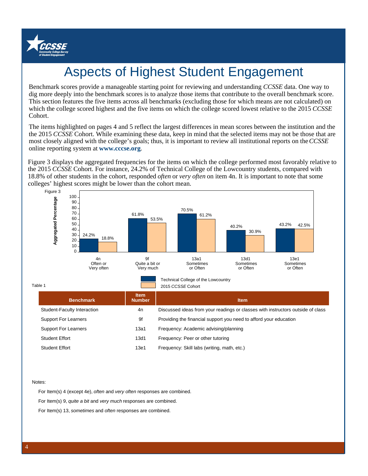

# Aspects of Highest Student Engagement

Benchmark scores provide a manageable starting point for reviewing and understanding *CCSSE* data. One way to dig more deeply into the benchmark scores is to analyze those items that contribute to the overall benchmark score. This section features the five items across all benchmarks (excluding those for which means are not calculated) on which the college scored highest and the five items on which the college scored lowest relative to the 2015 *CCSSE* Cohort.

The items highlighted on pages 4 and 5 reflect the largest differences in mean scores between the institution and the the 2015 *CCSSE* Cohort. While examining these data, keep in mind that the selected items may not be those that are most closely aligned with the college's goals; thus, it is important to review all institutional reports on the *CCSSE* online reporting system at **www.cccse.org**.

Figure 3 displays the aggregated frequencies for the items on which the college performed most favorably relative to the 2015 *CCSSE* Cohort. For instance, 24.2% of Technical College of the Lowcountry students, compared with 18.8% of other students in the cohort, responded *often* or *very often* on item 4n. It is important to note that some colleges' highest scores might be lower than the cohort mean.



Table 1

| ו טוע                       |                              | ZU I Ə UUƏƏL UÜHUH                                                              |
|-----------------------------|------------------------------|---------------------------------------------------------------------------------|
| <b>Benchmark</b>            | <b>Item</b><br><b>Number</b> | <b>Item</b>                                                                     |
| Student-Faculty Interaction | 4n                           | Discussed ideas from your readings or classes with instructors outside of class |
| <b>Support For Learners</b> | 9f                           | Providing the financial support you need to afford your education               |
| <b>Support For Learners</b> | 13a1                         | Frequency: Academic advising/planning                                           |
| <b>Student Effort</b>       | 13d1                         | Frequency: Peer or other tutoring                                               |
| Student Effort              | 13e1                         | Frequency: Skill labs (writing, math, etc.)                                     |
|                             |                              |                                                                                 |

Notes:

For Item(s) 4 (except 4e), often and very often responses are combined.

For Item(s) 9, quite a bit and very much responses are combined.

For Item(s) 13, sometimes and often responses are combined.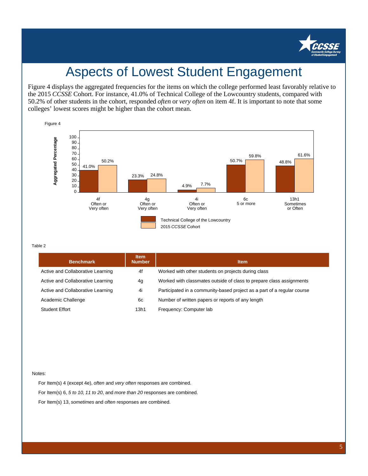

## Aspects of Lowest Student Engagement

Figure 4 displays the aggregated frequencies for the items on which the college performed least favorably relative to the 2015 *CCSSE* Cohort. For instance, 41.0% of Technical College of the Lowcountry students, compared with 50.2% of other students in the cohort, responded *often* or *very often* on item 4f. It is important to note that some colleges' lowest scores might be higher than the cohort mean.



#### Table 2

| <b>Benchmark</b>                  | <b>Item</b><br><b>Number</b> | <b>Item</b>                                                             |
|-----------------------------------|------------------------------|-------------------------------------------------------------------------|
| Active and Collaborative Learning | 4f                           | Worked with other students on projects during class                     |
| Active and Collaborative Learning | 4g                           | Worked with classmates outside of class to prepare class assignments    |
| Active and Collaborative Learning | 4i                           | Participated in a community-based project as a part of a regular course |
| Academic Challenge                | 6c                           | Number of written papers or reports of any length                       |
| <b>Student Effort</b>             | 13h1                         | Frequency: Computer lab                                                 |

#### Notes:

For Item(s) 4 (except 4e), often and very often responses are combined. For Item(s) 6, 5 to 10, 11 to 20, and more than 20 responses are combined. For Item(s) 13, sometimes and often responses are combined.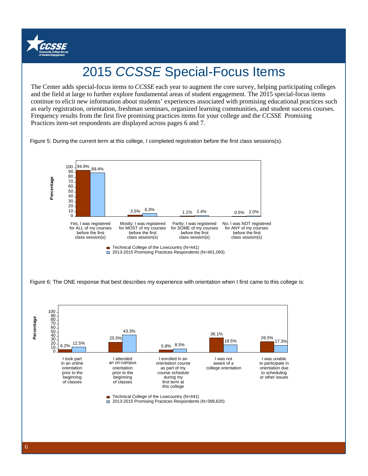

# 2015 CCSSE Special-Focus Items

and the field at large to further explore fundamental areas of student engagement. The 2015 special-focus items The Center adds special-focus items to *CCSSE* each year to augment the core survey, helping participating colleges continue to elicit new information about students' experiences associated with promising educational practices such as early registration, orientation, freshman seminars, organized learning communities, and student success courses. Frequency results from the first five promising practices items for your college and the *CCSSE* Promising Practices item-set respondents are displayed across pages 6 and 7.

Figure 5: During the current term at this college, I completed registration before the first class sessions(s).



6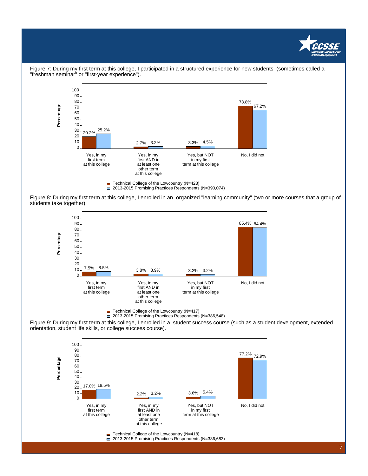



Figure 7: During my first term at this college, I participated in a structured experience for new students (sometimes called a "freshman seminar" or "first-year experience").

2013-2015 Promising Practices Respondents (N=390,074)

Figure 8: During my first term at this college, I enrolled in an organized "learning community" (two or more courses that a group of students take together).



■ Technical College of the Lowcountry (N=417)

2013-2015 Promising Practices Respondents (N=386,548)

Figure 9: During my first term at this college, I enrolled in a student success course (such as a student development, extended orientation, student life skills, or college success course).



■ Technical College of the Lowcountry (N=418)

□ 2013-2015 Promising Practices Respondents (N=386,683)